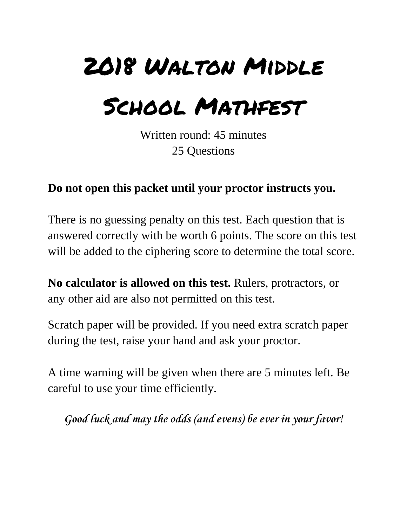## 2018 Walton Middle

## School Mathfest

Written round: 45 minutes 25 Questions

## **Do not open this packet until your proctor instructs you.**

There is no guessing penalty on this test. Each question that is answered correctly with be worth 6 points. The score on this test will be added to the ciphering score to determine the total score.

**No calculator is allowed on this test.** Rulers, protractors, or any other aid are also not permitted on this test.

Scratch paper will be provided. If you need extra scratch paper during the test, raise your hand and ask your proctor.

A time warning will be given when there are 5 minutes left. Be careful to use your time efficiently.

*Good luck and may the odds (and evens) be ever in your favor!*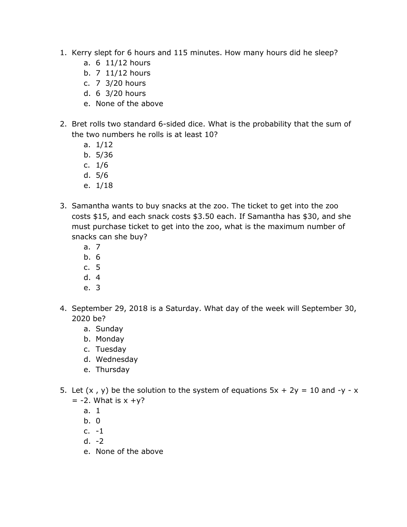- 1. Kerry slept for 6 hours and 115 minutes. How many hours did he sleep?
	- a. 6 11/12 hours
	- b. 7 11/12 hours
	- c. 7 3/20 hours
	- d. 6 3/20 hours
	- e. None of the above
- 2. Bret rolls two standard 6-sided dice. What is the probability that the sum of the two numbers he rolls is at least 10?
	- a. 1/12
	- b. 5/36
	- c. 1/6
	- d. 5/6
	- e. 1/18
- 3. Samantha wants to buy snacks at the zoo. The ticket to get into the zoo costs \$15, and each snack costs \$3.50 each. If Samantha has \$30, and she must purchase ticket to get into the zoo, what is the maximum number of snacks can she buy?
	- a. 7
	- b. 6
	- c. 5
	- d. 4
	- e. 3
- 4. September 29, 2018 is a Saturday. What day of the week will September 30, 2020 be?
	- a. Sunday
	- b. Monday
	- c. Tuesday
	- d. Wednesday
	- e. Thursday
- 5. Let  $(x, y)$  be the solution to the system of equations  $5x + 2y = 10$  and  $-y x$  $= -2$ . What is  $x + y$ ?
	- a. 1
	- b. 0
	- c.  $-1$
	- d.  $-2$
	- e. None of the above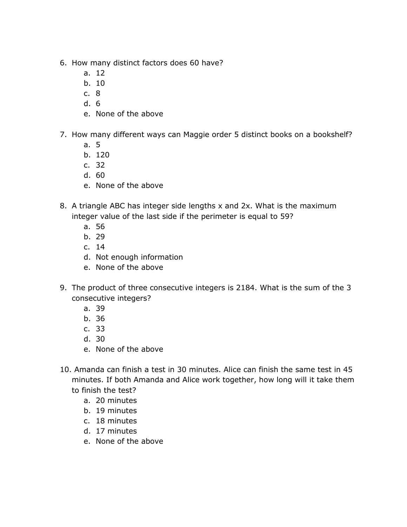- 6. How many distinct factors does 60 have?
	- a. 12
	- b. 10
	- c. 8
	- d. 6
	- e. None of the above
- 7. How many different ways can Maggie order 5 distinct books on a bookshelf?
	- a. 5
	- b. 120
	- c. 32
	- d. 60
	- e. None of the above
- 8. A triangle ABC has integer side lengths x and 2x. What is the maximum integer value of the last side if the perimeter is equal to 59?
	- a. 56
	- b. 29
	- c. 14
	- d. Not enough information
	- e. None of the above
- 9. The product of three consecutive integers is 2184. What is the sum of the 3 consecutive integers?
	- a. 39
	- b. 36
	- c. 33
	- d. 30
	- e. None of the above
- 10. Amanda can finish a test in 30 minutes. Alice can finish the same test in 45 minutes. If both Amanda and Alice work together, how long will it take them to finish the test?
	- a. 20 minutes
	- b. 19 minutes
	- c. 18 minutes
	- d. 17 minutes
	- e. None of the above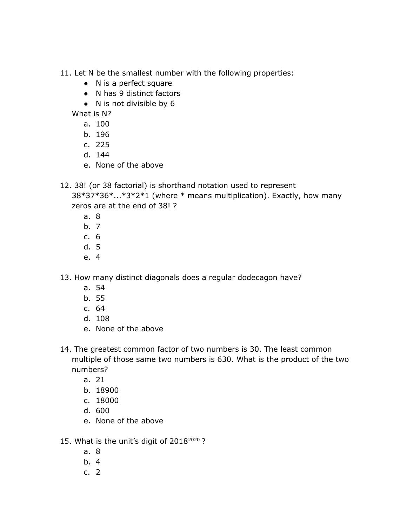11. Let N be the smallest number with the following properties:

- N is a perfect square
- N has 9 distinct factors
- N is not divisible by 6

What is N?

- a. 100
- b. 196
- c. 225
- d. 144
- e. None of the above
- 12. 38! (or 38 factorial) is shorthand notation used to represent

38\*37\*36\*...\*3\*2\*1 (where \* means multiplication). Exactly, how many zeros are at the end of 38! ?

- a. 8
- b. 7
- c. 6
- d. 5
- e. 4

13. How many distinct diagonals does a regular dodecagon have?

- a. 54
- b. 55
- c. 64
- d. 108
- e. None of the above
- 14. The greatest common factor of two numbers is 30. The least common multiple of those same two numbers is 630. What is the product of the two numbers?
	- a. 21
	- b. 18900
	- c. 18000
	- d. 600
	- e. None of the above
- 15. What is the unit's digit of 2018<sup>2020</sup>?
	- a. 8
	- b. 4
	- c. 2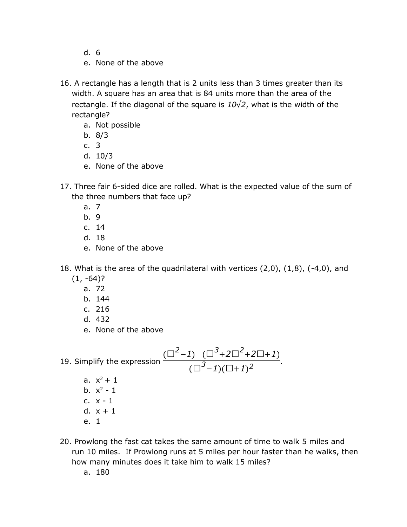- d. 6
- e. None of the above
- 16. A rectangle has a length that is 2 units less than 3 times greater than its width. A square has an area that is 84 units more than the area of the rectangle. If the diagonal of the square is *10*√*2*, what is the width of the rectangle?
	- a. Not possible
	- b. 8/3
	- c. 3
	- d. 10/3
	- e. None of the above
- 17. Three fair 6-sided dice are rolled. What is the expected value of the sum of the three numbers that face up?
	- a. 7
	- b. 9
	- c. 14
	- d. 18
	- e. None of the above
- 18. What is the area of the quadrilateral with vertices  $(2,0)$ ,  $(1,8)$ ,  $(-4,0)$ , and  $(1, -64)$ ?
	- a. 72
	- b. 144
	- c. 216
	- d. 432
	- e. None of the above
- 19. Simplify the expression  $(\Box^2 - 1)$   $(\Box^3 + 2\Box^2 + 2\Box + 1)$  $\overbrace{(\Box^3 - 1)(\Box + 1)^2}^2$ . a.  $x^2 + 1$ b.  $x^2 - 1$ c. x - 1 d.  $x + 1$ e. 1
- 20. Prowlong the fast cat takes the same amount of time to walk 5 miles and run 10 miles. If Prowlong runs at 5 miles per hour faster than he walks, then how many minutes does it take him to walk 15 miles?

a. 180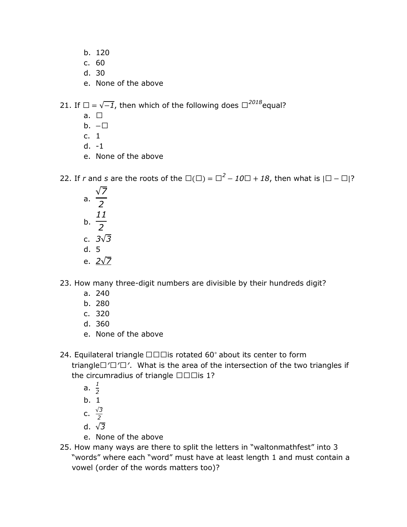- b. 120
- c. 60
- d. 30
- e. None of the above

21. If  $\square = \sqrt{-1}$ , then which of the following does  $\square^{2018}$ equal?

- a.  $\square$
- b.  $-\Box$
- c. 1
- d. -1
- e. None of the above

22. If *r* and *s* are the roots of the  $\square(\square) = \square^2 - 10\square + 18$ , then what is  $\square - \square$ ?

a. √*7 2* b. *11 2* c. *3*√*3* d. 5 e. *2*√*7*

23. How many three-digit numbers are divisible by their hundreds digit?

- a. 240
- b. 280
- c. 320
- d. 360
- e. None of the above
- 24. Equilateral triangle □□□is rotated 60<sup>°</sup> about its center to form triangle□<sup>'□'</sup>. What is the area of the intersection of the two triangles if the circumradius of triangle  $\square \square \square$  is 1?
	- a.  $\frac{1}{2}$ *2*
	- b. 1
	- c. √*3 2*
	- d. √*3*
	- e. None of the above
- 25. How many ways are there to split the letters in "waltonmathfest" into 3 "words" where each "word" must have at least length 1 and must contain a vowel (order of the words matters too)?